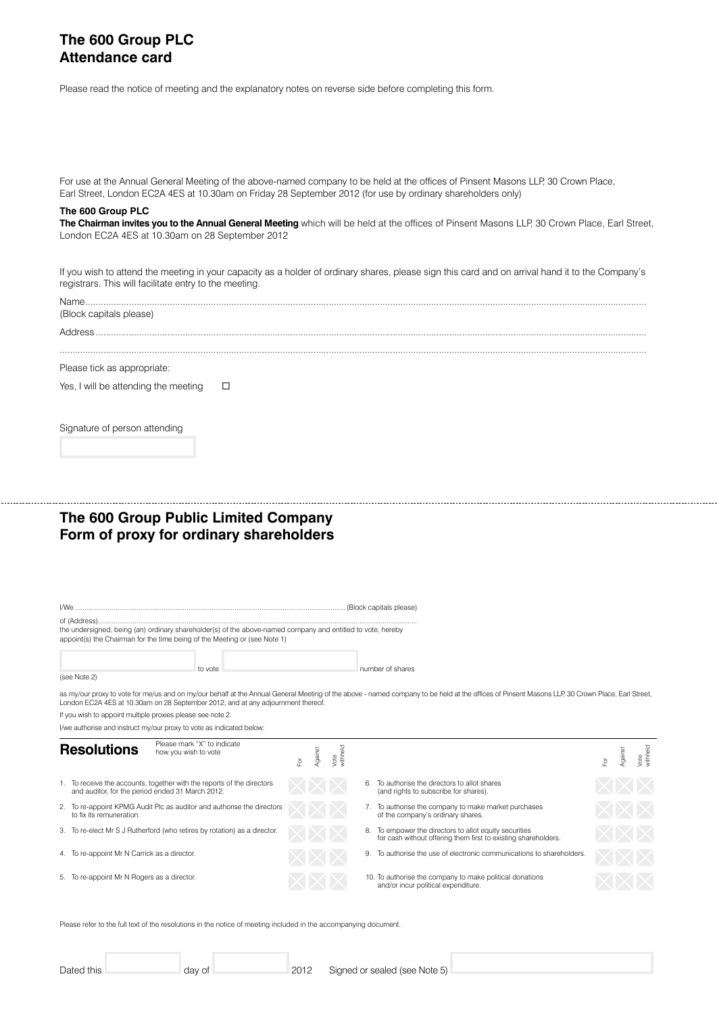## **The 600 Group PLC Attendance card**

Please read the notice of meeting and the explanatory notes on reverse side before completing this form.

| Earl Street, London EC2A 4ES at 10.30am on Friday 28 September 2012 (for use by ordinary shareholders only)<br>The 600 Group PLC                                                                                       |                                  |                                                                                                                                                                                                 |                                                   |
|------------------------------------------------------------------------------------------------------------------------------------------------------------------------------------------------------------------------|----------------------------------|-------------------------------------------------------------------------------------------------------------------------------------------------------------------------------------------------|---------------------------------------------------|
| London EC2A 4ES at 10.30am on 28 September 2012                                                                                                                                                                        |                                  | The Chairman invites you to the Annual General Meeting which will be held at the offices of Pinsent Masons LLP, 30 Crown Place, Earl Street,                                                    |                                                   |
| registrars. This will facilitate entry to the meeting.                                                                                                                                                                 |                                  | If you wish to attend the meeting in your capacity as a holder of ordinary shares, please sign this card and on arrival hand it to the Company's                                                |                                                   |
| (Block capitals please)                                                                                                                                                                                                |                                  |                                                                                                                                                                                                 |                                                   |
|                                                                                                                                                                                                                        |                                  |                                                                                                                                                                                                 |                                                   |
| Please tick as appropriate:                                                                                                                                                                                            |                                  |                                                                                                                                                                                                 |                                                   |
| Yes, I will be attending the meeting<br>□                                                                                                                                                                              |                                  |                                                                                                                                                                                                 |                                                   |
| Signature of person attending                                                                                                                                                                                          |                                  |                                                                                                                                                                                                 |                                                   |
|                                                                                                                                                                                                                        |                                  |                                                                                                                                                                                                 |                                                   |
|                                                                                                                                                                                                                        |                                  |                                                                                                                                                                                                 |                                                   |
|                                                                                                                                                                                                                        |                                  |                                                                                                                                                                                                 |                                                   |
| The 600 Group Public Limited Company<br>Form of proxy for ordinary shareholders                                                                                                                                        |                                  |                                                                                                                                                                                                 |                                                   |
|                                                                                                                                                                                                                        |                                  |                                                                                                                                                                                                 |                                                   |
| of (Address).<br>the undersigned, being (an) ordinary shareholder(s) of the above-named company and entitled to vote, hereby<br>appoint(s) the Chairman for the time being of the Meeting or (see Note 1)              |                                  |                                                                                                                                                                                                 |                                                   |
|                                                                                                                                                                                                                        |                                  |                                                                                                                                                                                                 |                                                   |
| to vote<br>(see Note 2)                                                                                                                                                                                                |                                  | number of shares                                                                                                                                                                                |                                                   |
| London EC2A 4ES at 10.30am on 28 September 2012, and at any adjournment thereof.<br>If you wish to appoint multiple proxies please see note 2.<br>I/we authorise and instruct my/our proxy to vote as indicated below: |                                  | as my/our proxy to vote for me/us and on my/our behalf at the Annual General Meeting of the above - named company to be held at the offices of Pinsent Masons LLP, 30 Crown Place, Earl Street, |                                                   |
| Please mark "X" to indicate<br><b>Resolutions</b><br>how you wish to vote                                                                                                                                              | Vote<br>withheld<br>Against<br>ă |                                                                                                                                                                                                 | Vote<br>withheld<br>Against<br>$\bar{\mathbb{P}}$ |
| 1. To receive the accounts, together with the reports of the directors<br>and auditor, for the period ended 31 March 2012.                                                                                             |                                  | 6. To authorise the directors to allot shares<br>(and rights to subscribe for shares).                                                                                                          |                                                   |
| 2. To re-appoint KPMG Audit Plc as auditor and authorise the directors<br>to fix its remuneration.                                                                                                                     |                                  | 7. To authorise the company to make market purchases<br>of the company's ordinary shares.                                                                                                       |                                                   |
| 3. To re-elect Mr S J Rutherford (who retires by rotation) as a director.                                                                                                                                              |                                  | 8. To empower the directors to allot equity securities<br>for cash without offering them first to existing shareholders.                                                                        |                                                   |
| 4. To re-appoint Mr N Carrick as a director.                                                                                                                                                                           |                                  | 9. To authorise the use of electronic communications to shareholders                                                                                                                            |                                                   |